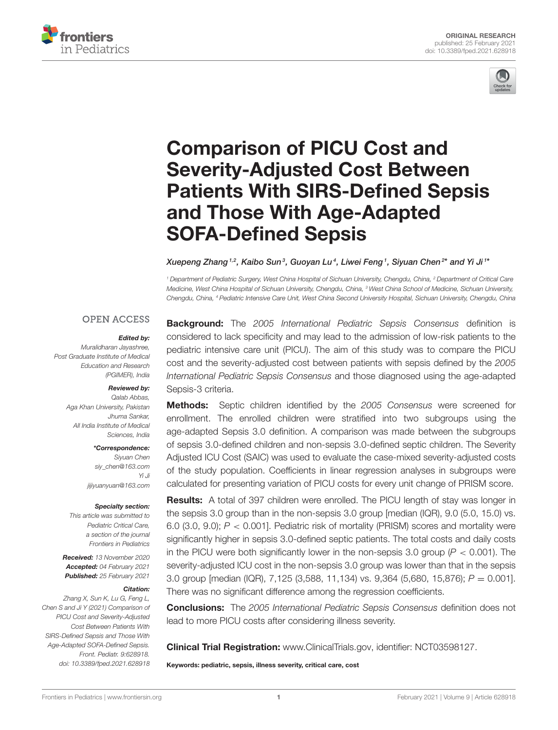



# Comparison of PICU Cost and Severity-Adjusted Cost Between [Patients With SIRS-Defined Sepsis](https://www.frontiersin.org/articles/10.3389/fped.2021.628918/full) and Those With Age-Adapted SOFA-Defined Sepsis

Xuepeng Zhang $^{1,2}$ , Kaibo Sun $^3$ , Guoyan Lu $^4$ , Liwei Feng $^1$ , Siyuan Chen $^{2\star}$  and Yi Ji  $^{1\star}$ 

*<sup>1</sup> Department of Pediatric Surgery, West China Hospital of Sichuan University, Chengdu, China, <sup>2</sup> Department of Critical Care Medicine, West China Hospital of Sichuan University, Chengdu, China, <sup>3</sup> West China School of Medicine, Sichuan University, Chengdu, China, <sup>4</sup> Pediatric Intensive Care Unit, West China Second University Hospital, Sichuan University, Chengdu, China*

### **OPEN ACCESS**

#### Edited by:

*Muralidharan Jayashree, Post Graduate Institute of Medical Education and Research (PGIMER), India*

#### Reviewed by:

*Qalab Abbas, Aga Khan University, Pakistan Jhuma Sankar, All India Institute of Medical Sciences, India*

#### \*Correspondence:

*Siyuan Chen [siy\\_chen@163.com](mailto:siy_chen@163.com) Yi Ji [jijiyuanyuan@163.com](mailto:jijiyuanyuan@163.com)*

#### Specialty section:

*This article was submitted to Pediatric Critical Care, a section of the journal Frontiers in Pediatrics*

Received: *13 November 2020* Accepted: *04 February 2021* Published: *25 February 2021*

#### Citation:

*Zhang X, Sun K, Lu G, Feng L, Chen S and Ji Y (2021) Comparison of PICU Cost and Severity-Adjusted Cost Between Patients With SIRS-Defined Sepsis and Those With Age-Adapted SOFA-Defined Sepsis. Front. Pediatr. 9:628918. doi: [10.3389/fped.2021.628918](https://doi.org/10.3389/fped.2021.628918)*

Background: The *2005 International Pediatric Sepsis Consensus* definition is considered to lack specificity and may lead to the admission of low-risk patients to the pediatric intensive care unit (PICU). The aim of this study was to compare the PICU cost and the severity-adjusted cost between patients with sepsis defined by the *2005 International Pediatric Sepsis Consensus* and those diagnosed using the age-adapted Sepsis-3 criteria.

Methods: Septic children identified by the *2005 Consensus* were screened for enrollment. The enrolled children were stratified into two subgroups using the age-adapted Sepsis 3.0 definition. A comparison was made between the subgroups of sepsis 3.0-defined children and non-sepsis 3.0-defined septic children. The Severity Adjusted ICU Cost (SAIC) was used to evaluate the case-mixed severity-adjusted costs of the study population. Coefficients in linear regression analyses in subgroups were calculated for presenting variation of PICU costs for every unit change of PRISM score.

Results: A total of 397 children were enrolled. The PICU length of stay was longer in the sepsis 3.0 group than in the non-sepsis 3.0 group [median (IQR), 9.0 (5.0, 15.0) vs. 6.0 (3.0, 9.0); *P* < 0.001]. Pediatric risk of mortality (PRISM) scores and mortality were significantly higher in sepsis 3.0-defined septic patients. The total costs and daily costs in the PICU were both significantly lower in the non-sepsis 3.0 group  $(P < 0.001)$ . The severity-adjusted ICU cost in the non-sepsis 3.0 group was lower than that in the sepsis 3.0 group [median (IQR), 7,125 (3,588, 11,134) vs. 9,364 (5,680, 15,876); *P* = 0.001]. There was no significant difference among the regression coefficients.

Conclusions: The *2005 International Pediatric Sepsis Consensus* definition does not lead to more PICU costs after considering illness severity.

Clinical Trial Registration: [www.ClinicalTrials.gov,](http://www.ClinicalTrials.gov) identifier: NCT03598127.

Keywords: pediatric, sepsis, illness severity, critical care, cost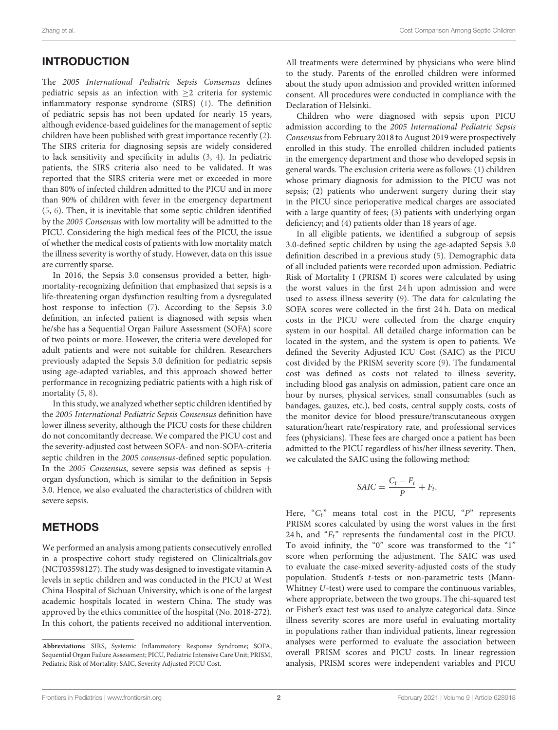# INTRODUCTION

The 2005 International Pediatric Sepsis Consensus defines pediatric sepsis as an infection with  $\geq 2$  criteria for systemic inflammatory response syndrome (SIRS) [\(1\)](#page-5-0). The definition of pediatric sepsis has not been updated for nearly 15 years, although evidence-based guidelines for the management of septic children have been published with great importance recently [\(2\)](#page-5-1). The SIRS criteria for diagnosing sepsis are widely considered to lack sensitivity and specificity in adults [\(3,](#page-5-2) [4\)](#page-5-3). In pediatric patients, the SIRS criteria also need to be validated. It was reported that the SIRS criteria were met or exceeded in more than 80% of infected children admitted to the PICU and in more than 90% of children with fever in the emergency department [\(5,](#page-5-4) [6\)](#page-5-5). Then, it is inevitable that some septic children identified by the 2005 Consensus with low mortality will be admitted to the PICU. Considering the high medical fees of the PICU, the issue of whether the medical costs of patients with low mortality match the illness severity is worthy of study. However, data on this issue are currently sparse.

In 2016, the Sepsis 3.0 consensus provided a better, highmortality-recognizing definition that emphasized that sepsis is a life-threatening organ dysfunction resulting from a dysregulated host response to infection [\(7\)](#page-5-6). According to the Sepsis 3.0 definition, an infected patient is diagnosed with sepsis when he/she has a Sequential Organ Failure Assessment (SOFA) score of two points or more. However, the criteria were developed for adult patients and were not suitable for children. Researchers previously adapted the Sepsis 3.0 definition for pediatric sepsis using age-adapted variables, and this approach showed better performance in recognizing pediatric patients with a high risk of mortality [\(5,](#page-5-4) [8\)](#page-5-7).

In this study, we analyzed whether septic children identified by the 2005 International Pediatric Sepsis Consensus definition have lower illness severity, although the PICU costs for these children do not concomitantly decrease. We compared the PICU cost and the severity-adjusted cost between SOFA- and non-SOFA-criteria septic children in the 2005 consensus-defined septic population. In the 2005 Consensus, severe sepsis was defined as sepsis + organ dysfunction, which is similar to the definition in Sepsis 3.0. Hence, we also evaluated the characteristics of children with severe sepsis.

# METHODS

We performed an analysis among patients consecutively enrolled in a prospective cohort study registered on Clinicaltrials.gov (NCT03598127). The study was designed to investigate vitamin A levels in septic children and was conducted in the PICU at West China Hospital of Sichuan University, which is one of the largest academic hospitals located in western China. The study was approved by the ethics committee of the hospital (No. 2018-272). In this cohort, the patients received no additional intervention. All treatments were determined by physicians who were blind to the study. Parents of the enrolled children were informed about the study upon admission and provided written informed consent. All procedures were conducted in compliance with the Declaration of Helsinki.

Children who were diagnosed with sepsis upon PICU admission according to the 2005 International Pediatric Sepsis Consensus from February 2018 to August 2019 were prospectively enrolled in this study. The enrolled children included patients in the emergency department and those who developed sepsis in general wards. The exclusion criteria were as follows: (1) children whose primary diagnosis for admission to the PICU was not sepsis; (2) patients who underwent surgery during their stay in the PICU since perioperative medical charges are associated with a large quantity of fees; (3) patients with underlying organ deficiency; and (4) patients older than 18 years of age.

In all eligible patients, we identified a subgroup of sepsis 3.0-defined septic children by using the age-adapted Sepsis 3.0 definition described in a previous study [\(5\)](#page-5-4). Demographic data of all included patients were recorded upon admission. Pediatric Risk of Mortality I (PRISM I) scores were calculated by using the worst values in the first 24 h upon admission and were used to assess illness severity [\(9\)](#page-5-8). The data for calculating the SOFA scores were collected in the first 24 h. Data on medical costs in the PICU were collected from the charge enquiry system in our hospital. All detailed charge information can be located in the system, and the system is open to patients. We defined the Severity Adjusted ICU Cost (SAIC) as the PICU cost divided by the PRISM severity score [\(9\)](#page-5-8). The fundamental cost was defined as costs not related to illness severity, including blood gas analysis on admission, patient care once an hour by nurses, physical services, small consumables (such as bandages, gauzes, etc.), bed costs, central supply costs, costs of the monitor device for blood pressure/transcutaneous oxygen saturation/heart rate/respiratory rate, and professional services fees (physicians). These fees are charged once a patient has been admitted to the PICU regardless of his/her illness severity. Then, we calculated the SAIC using the following method:

$$
SAIC = \frac{C_t - F_t}{P} + F_t.
$$

Here, " $C_t$ " means total cost in the PICU, "P" represents PRISM scores calculated by using the worst values in the first 24 h, and  $F_t$ " represents the fundamental cost in the PICU. To avoid infinity, the "0" score was transformed to the "1" score when performing the adjustment. The SAIC was used to evaluate the case-mixed severity-adjusted costs of the study population. Student's t-tests or non-parametric tests (Mann-Whitney U-test) were used to compare the continuous variables, where appropriate, between the two groups. The chi-squared test or Fisher's exact test was used to analyze categorical data. Since illness severity scores are more useful in evaluating mortality in populations rather than individual patients, linear regression analyses were performed to evaluate the association between overall PRISM scores and PICU costs. In linear regression analysis, PRISM scores were independent variables and PICU

**Abbreviations:** SIRS, Systemic Inflammatory Response Syndrome; SOFA, Sequential Organ Failure Assessment; PICU, Pediatric Intensive Care Unit; PRISM, Pediatric Risk of Mortality; SAIC, Severity Adjusted PICU Cost.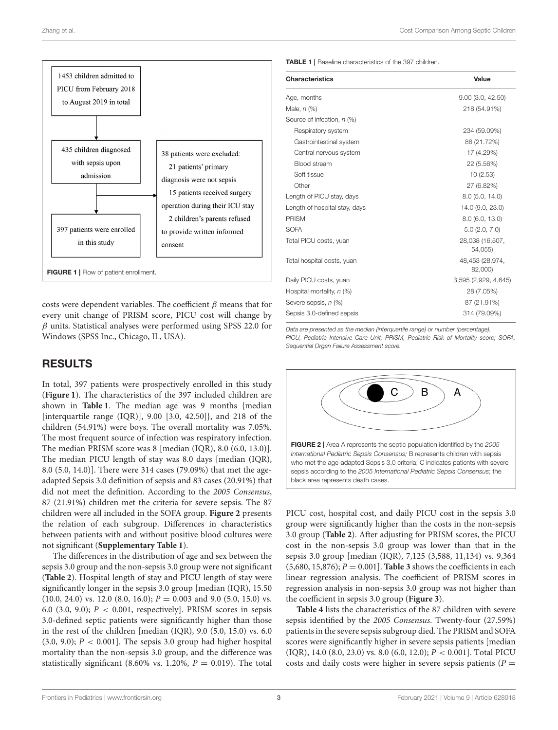

<span id="page-2-0"></span>costs were dependent variables. The coefficient  $\beta$  means that for every unit change of PRISM score, PICU cost will change by  $\beta$  units. Statistical analyses were performed using SPSS 22.0 for Windows (SPSS Inc., Chicago, IL, USA).

# RESULTS

In total, 397 patients were prospectively enrolled in this study (**[Figure 1](#page-2-0)**). The characteristics of the 397 included children are shown in **[Table 1](#page-2-1)**. The median age was 9 months {median [interquartile range (IQR)], 9.00 [3.0, 42.50]}, and 218 of the children (54.91%) were boys. The overall mortality was 7.05%. The most frequent source of infection was respiratory infection. The median PRISM score was 8 [median (IQR), 8.0 (6.0, 13.0)]. The median PICU length of stay was 8.0 days [median (IQR), 8.0 (5.0, 14.0)]. There were 314 cases (79.09%) that met the ageadapted Sepsis 3.0 definition of sepsis and 83 cases (20.91%) that did not meet the definition. According to the 2005 Consensus, 87 (21.91%) children met the criteria for severe sepsis. The 87 children were all included in the SOFA group. **[Figure 2](#page-2-2)** presents the relation of each subgroup. Differences in characteristics between patients with and without positive blood cultures were not significant (**[Supplementary Table 1](#page-5-9)**).

The differences in the distribution of age and sex between the sepsis 3.0 group and the non-sepsis 3.0 group were not significant (**[Table 2](#page-3-0)**). Hospital length of stay and PICU length of stay were significantly longer in the sepsis 3.0 group [median (IQR), 15.50  $(10.0, 24.0)$  vs. 12.0  $(8.0, 16.0)$ ;  $P = 0.003$  and 9.0  $(5.0, 15.0)$  vs. 6.0 (3.0, 9.0);  $P < 0.001$ , respectively]. PRISM scores in sepsis 3.0-defined septic patients were significantly higher than those in the rest of the children [median (IQR), 9.0 (5.0, 15.0) vs. 6.0  $(3.0, 9.0); P < 0.001$ . The sepsis 3.0 group had higher hospital mortality than the non-sepsis 3.0 group, and the difference was statistically significant (8.60% vs. 1.20%,  $P = 0.019$ ). The total <span id="page-2-1"></span>TABLE 1 | Baseline characteristics of the 397 children.

| <b>Characteristics</b>        | Value                      |
|-------------------------------|----------------------------|
| Age, months                   | 9.00(3.0, 42.50)           |
| Male, n (%)                   | 218 (54.91%)               |
| Source of infection, n (%)    |                            |
| Respiratory system            | 234 (59.09%)               |
| Gastrointestinal system       | 86 (21.72%)                |
| Central nervous system        | 17 (4.29%)                 |
| Blood stream                  | 22 (5.56%)                 |
| Soft tissue                   | 10(2.53)                   |
| Other                         | 27 (6.82%)                 |
| Length of PICU stay, days     | 8.0(5.0, 14.0)             |
| Length of hospital stay, days | 14.0 (9.0, 23.0)           |
| <b>PRISM</b>                  | 8.0(6.0, 13.0)             |
| <b>SOFA</b>                   | 5.0(2.0, 7.0)              |
| Total PICU costs, yuan        | 28,038 (16,507,<br>54,055) |
| Total hospital costs, yuan    | 48,453 (28,974,<br>82,000) |
| Daily PICU costs, yuan        | 3,595 (2,929, 4,645)       |
| Hospital mortality, n (%)     | 28 (7.05%)                 |
| Severe sepsis, n (%)          | 87 (21.91%)                |
| Sepsis 3.0-defined sepsis     | 314 (79.09%)               |

*Data are presented as the median (interquartile range) or number (percentage). PICU, Pediatric Intensive Care Unit; PRISM, Pediatric Risk of Mortality score; SOFA, Sequential Organ Failure Assessment score.*

<span id="page-2-2"></span>

PICU cost, hospital cost, and daily PICU cost in the sepsis 3.0 group were significantly higher than the costs in the non-sepsis 3.0 group (**[Table 2](#page-3-0)**). After adjusting for PRISM scores, the PICU cost in the non-sepsis 3.0 group was lower than that in the sepsis 3.0 group [median (IQR), 7,125 (3,588, 11,134) vs. 9,364  $(5,680, 15,876);$   $P = 0.001$ . **[Table 3](#page-3-1)** shows the coefficients in each linear regression analysis. The coefficient of PRISM scores in regression analysis in non-sepsis 3.0 group was not higher than the coefficient in sepsis 3.0 group (**[Figure 3](#page-3-2)**).

**[Table 4](#page-4-0)** lists the characteristics of the 87 children with severe sepsis identified by the 2005 Consensus. Twenty-four (27.59%) patients in the severe sepsis subgroup died. The PRISM and SOFA scores were significantly higher in severe sepsis patients [median (IQR), 14.0 (8.0, 23.0) vs. 8.0 (6.0, 12.0); P < 0.001]. Total PICU costs and daily costs were higher in severe sepsis patients ( $P =$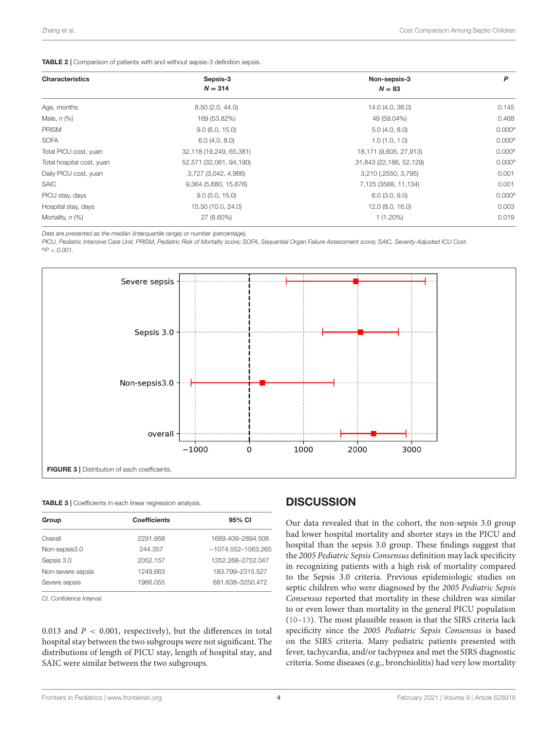#### <span id="page-3-0"></span>TABLE 2 | Comparison of patients with and without sepsis-3 definition sepsis.

| <b>Characteristics</b>    | Sepsis-3<br>$N = 314$   | Non-sepsis-3<br>$N = 83$ | P                  |
|---------------------------|-------------------------|--------------------------|--------------------|
|                           |                         |                          |                    |
| Male, $n$ $(\%)$          | 169 (53.82%)            | 49 (59.04%)              | 0.468              |
| <b>PRISM</b>              | 9.0(6.0, 15.0)          | 5.0(4.0, 8.0)            | 0.000 <sup>a</sup> |
| <b>SOFA</b>               | 6.0(4.0, 8.0)           | 1.0(1.0, 1.0)            | 0.000 <sup>a</sup> |
| Total PICU cost, yuan     | 32,118 (19,249, 65,381) | 18,171 (9,605, 27,913)   | 0.000 <sup>a</sup> |
| Total hospital cost, yuan | 52,571 (32,061, 94,190) | 31,843 (22,186, 52,129)  | 0.000 <sup>a</sup> |
| Daily PICU cost, yuan     | 3,727 (3,042, 4,966)    | 3,210 (,2550, 3,795)     | 0.001              |
| <b>SAIC</b>               | 9,364 (5,680, 15,876)   | 7,125 (3588, 11,134)     | 0.001              |
| PICU stay, days           | 9.0(5.0, 15.0)          | 6.0(3.0, 9.0)            | 0.000 <sup>a</sup> |
| Hospital stay, days       | 15.50 (10.0, 24.0)      | 12.0(8.0, 16.0)          | 0.003              |
| Mortality, $n$ (%)        | 27 (8.60%)              | $1(1.20\%)$              | 0.019              |

*Data are presented as the median (interquartile range) or number (percentage).*

*PICU, Pediatric Intensive Care Unit; PRISM, Pediatric Risk of Mortality score; SOFA, Sequential Organ Failure Assessment score; SAIC, Severity Adjusted ICU Cost. <sup>a</sup>P* < *0.001.*



#### <span id="page-3-2"></span><span id="page-3-1"></span>TABLE 3 | Coefficients in each linear regression analysis.

| Group             | <b>Coefficients</b> | 95% CI                 |
|-------------------|---------------------|------------------------|
| Overall           | 2291.958            | 1689.409-2894.506      |
| Non-sepsis3.0     | 244.357             | $-1074.552 - 1563.265$ |
| Sepsis 3.0        | 2052.157            | 1352.268-2752.047      |
| Non-severe sepsis | 1249.663            | 183.799-2315.527       |
| Severe sepsis     | 1966.055            | 681.638-3250.472       |

*CI, Confidence Interval.*

0.013 and  $P < 0.001$ , respectively), but the differences in total hospital stay between the two subgroups were not significant. The distributions of length of PICU stay, length of hospital stay, and SAIC were similar between the two subgroups.

# **DISCUSSION**

Our data revealed that in the cohort, the non-sepsis 3.0 group had lower hospital mortality and shorter stays in the PICU and hospital than the sepsis 3.0 group. These findings suggest that the 2005 Pediatric Sepsis Consensus definition may lack specificity in recognizing patients with a high risk of mortality compared to the Sepsis 3.0 criteria. Previous epidemiologic studies on septic children who were diagnosed by the 2005 Pediatric Sepsis Consensus reported that mortality in these children was similar to or even lower than mortality in the general PICU population [\(10](#page-5-10)[–13\)](#page-5-11). The most plausible reason is that the SIRS criteria lack specificity since the 2005 Pediatric Sepsis Consensus is based on the SIRS criteria. Many pediatric patients presented with fever, tachycardia, and/or tachypnea and met the SIRS diagnostic criteria. Some diseases (e.g., bronchiolitis) had very low mortality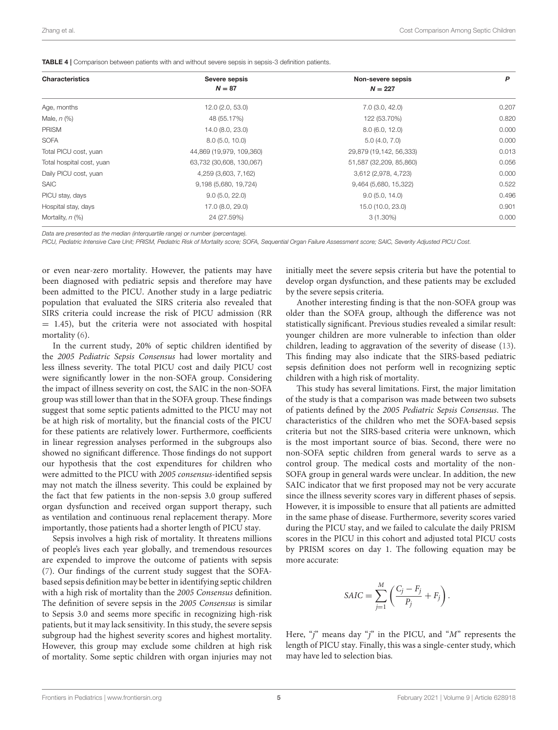<span id="page-4-0"></span>

| <b>Characteristics</b>    | Severe sepsis<br>$N = 87$ | Non-severe sepsis<br>$N = 227$ | P     |
|---------------------------|---------------------------|--------------------------------|-------|
|                           |                           |                                |       |
| Male, $n$ $(\%)$          | 48 (55.17%)               | 122 (53.70%)                   | 0.820 |
| <b>PRISM</b>              | 14.0 (8.0, 23.0)          | 8.0(6.0, 12.0)                 | 0.000 |
| <b>SOFA</b>               | 8.0(5.0, 10.0)            | 5.0(4.0, 7.0)                  | 0.000 |
| Total PICU cost, yuan     | 44,869 (19,979, 109,360)  | 29,879 (19,142, 56,333)        | 0.013 |
| Total hospital cost, yuan | 63,732 (30,608, 130,067)  | 51,587 (32,209, 85,860)        | 0.056 |
| Daily PICU cost, yuan     | 4,259 (3,603, 7,162)      | 3,612 (2,978, 4,723)           | 0.000 |
| <b>SAIC</b>               | 9,198 (5,680, 19,724)     | 9,464 (5,680, 15,322)          | 0.522 |
| PICU stay, days           | 9.0(5.0, 22.0)            | 9.0(5.0, 14.0)                 | 0.496 |
| Hospital stay, days       | 17.0 (8.0, 29.0)          | 15.0 (10.0, 23.0)              | 0.901 |
| Mortality, $n$ (%)        | 24 (27.59%)               | $3(1.30\%)$                    | 0.000 |

*Data are presented as the median (interquartile range) or number (percentage).*

*PICU, Pediatric Intensive Care Unit; PRISM, Pediatric Risk of Mortality score; SOFA, Sequential Organ Failure Assessment score; SAIC, Severity Adjusted PICU Cost.*

or even near-zero mortality. However, the patients may have been diagnosed with pediatric sepsis and therefore may have been admitted to the PICU. Another study in a large pediatric population that evaluated the SIRS criteria also revealed that SIRS criteria could increase the risk of PICU admission (RR  $= 1.45$ ), but the criteria were not associated with hospital mortality [\(6\)](#page-5-5).

In the current study, 20% of septic children identified by the 2005 Pediatric Sepsis Consensus had lower mortality and less illness severity. The total PICU cost and daily PICU cost were significantly lower in the non-SOFA group. Considering the impact of illness severity on cost, the SAIC in the non-SOFA group was still lower than that in the SOFA group. These findings suggest that some septic patients admitted to the PICU may not be at high risk of mortality, but the financial costs of the PICU for these patients are relatively lower. Furthermore, coefficients in linear regression analyses performed in the subgroups also showed no significant difference. Those findings do not support our hypothesis that the cost expenditures for children who were admitted to the PICU with 2005 consensus-identified sepsis may not match the illness severity. This could be explained by the fact that few patients in the non-sepsis 3.0 group suffered organ dysfunction and received organ support therapy, such as ventilation and continuous renal replacement therapy. More importantly, those patients had a shorter length of PICU stay.

Sepsis involves a high risk of mortality. It threatens millions of people's lives each year globally, and tremendous resources are expended to improve the outcome of patients with sepsis [\(7\)](#page-5-6). Our findings of the current study suggest that the SOFAbased sepsis definition may be better in identifying septic children with a high risk of mortality than the 2005 Consensus definition. The definition of severe sepsis in the 2005 Consensus is similar to Sepsis 3.0 and seems more specific in recognizing high-risk patients, but it may lack sensitivity. In this study, the severe sepsis subgroup had the highest severity scores and highest mortality. However, this group may exclude some children at high risk of mortality. Some septic children with organ injuries may not initially meet the severe sepsis criteria but have the potential to develop organ dysfunction, and these patients may be excluded by the severe sepsis criteria.

Another interesting finding is that the non-SOFA group was older than the SOFA group, although the difference was not statistically significant. Previous studies revealed a similar result: younger children are more vulnerable to infection than older children, leading to aggravation of the severity of disease [\(13\)](#page-5-11). This finding may also indicate that the SIRS-based pediatric sepsis definition does not perform well in recognizing septic children with a high risk of mortality.

This study has several limitations. First, the major limitation of the study is that a comparison was made between two subsets of patients defined by the 2005 Pediatric Sepsis Consensus. The characteristics of the children who met the SOFA-based sepsis criteria but not the SIRS-based criteria were unknown, which is the most important source of bias. Second, there were no non-SOFA septic children from general wards to serve as a control group. The medical costs and mortality of the non-SOFA group in general wards were unclear. In addition, the new SAIC indicator that we first proposed may not be very accurate since the illness severity scores vary in different phases of sepsis. However, it is impossible to ensure that all patients are admitted in the same phase of disease. Furthermore, severity scores varied during the PICU stay, and we failed to calculate the daily PRISM scores in the PICU in this cohort and adjusted total PICU costs by PRISM scores on day 1. The following equation may be more accurate:

$$
SAC = \sum_{j=1}^{M} \left( \frac{C_j - F_j}{P_j} + F_j \right).
$$

Here, "j" means day "j" in the PICU, and " $M$ " represents the length of PICU stay. Finally, this was a single-center study, which may have led to selection bias.